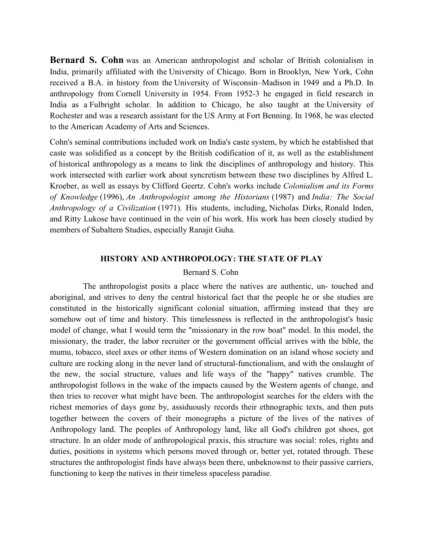Bernard S. Cohn was an American anthropologist and scholar of British colonialism in India, primarily affiliated with the University of Chicago. Born in Brooklyn, New York, Cohn received a B.A. in history from the University of Wisconsin–Madison in 1949 and a Ph.D. In anthropology from Cornell University in 1954. From 1952-3 he engaged in field research in India as a Fulbright scholar. In addition to Chicago, he also taught at the University of Rochester and was a research assistant for the US Army at Fort Benning. In 1968, he was elected to the American Academy of Arts and Sciences.

Cohn's seminal contributions included work on India's caste system, by which he established that caste was solidified as a concept by the British codification of it, as well as the establishment of historical anthropology as a means to link the disciplines of anthropology and history. This work intersected with earlier work about syncretism between these two disciplines by Alfred L. Kroeber, as well as essays by Clifford Geertz. Cohn's works include Colonialism and its Forms of Knowledge (1996), An Anthropologist among the Historians (1987) and India: The Social Anthropology of a Civilization (1971). His students, including, Nicholas Dirks, Ronald Inden, and Ritty Lukose have continued in the vein of his work. His work has been closely studied by members of Subaltern Studies, especially Ranajit Guha.

### HISTORY AND ANTHROPOLOGY: THE STATE OF PLAY

# Bernard S. Cohn

 The anthropologist posits a place where the natives are authentic, un- touched and aboriginal, and strives to deny the central historical fact that the people he or she studies are constituted in the historically significant colonial situation, affirming instead that they are somehow out of time and history. This timelessness is reflected in the anthropologist's basic model of change, what I would term the "missionary in the row boat" model. In this model, the missionary, the trader, the labor recruiter or the government official arrives with the bible, the mumu, tobacco, steel axes or other items of Western domination on an island whose society and culture are rocking along in the never land of structural-functionalism, and with the onslaught of the new, the social structure, values and life ways of the "happy" natives crumble. The anthropologist follows in the wake of the impacts caused by the Western agents of change, and then tries to recover what might have been. The anthropologist searches for the elders with the richest memories of days gone by, assiduously records their ethnographic texts, and then puts together between the covers of their monographs a picture of the lives of the natives of Anthropology land. The peoples of Anthropology land, like all God's children got shoes, got structure. In an older mode of anthropological praxis, this structure was social: roles, rights and duties, positions in systems which persons moved through or, better yet, rotated through. These structures the anthropologist finds have always been there, unbeknownst to their passive carriers, functioning to keep the natives in their timeless spaceless paradise.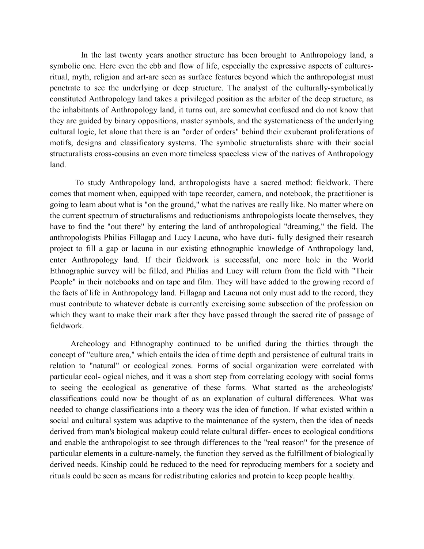In the last twenty years another structure has been brought to Anthropology land, a symbolic one. Here even the ebb and flow of life, especially the expressive aspects of culturesritual, myth, religion and art-are seen as surface features beyond which the anthropologist must penetrate to see the underlying or deep structure. The analyst of the culturally-symbolically constituted Anthropology land takes a privileged position as the arbiter of the deep structure, as the inhabitants of Anthropology land, it turns out, are somewhat confused and do not know that they are guided by binary oppositions, master symbols, and the systematicness of the underlying cultural logic, let alone that there is an "order of orders" behind their exuberant proliferations of motifs, designs and classificatory systems. The symbolic structuralists share with their social structuralists cross-cousins an even more timeless spaceless view of the natives of Anthropology land.

 To study Anthropology land, anthropologists have a sacred method: fieldwork. There comes that moment when, equipped with tape recorder, camera, and notebook, the practitioner is going to learn about what is "on the ground," what the natives are really like. No matter where on the current spectrum of structuralisms and reductionisms anthropologists locate themselves, they have to find the "out there" by entering the land of anthropological "dreaming," the field. The anthropologists Philias Fillagap and Lucy Lacuna, who have duti- fully designed their research project to fill a gap or lacuna in our existing ethnographic knowledge of Anthropology land, enter Anthropology land. If their fieldwork is successful, one more hole in the World Ethnographic survey will be filled, and Philias and Lucy will return from the field with "Their People" in their notebooks and on tape and film. They will have added to the growing record of the facts of life in Anthropology land. Fillagap and Lacuna not only must add to the record, they must contribute to whatever debate is currently exercising some subsection of the profession on which they want to make their mark after they have passed through the sacred rite of passage of fieldwork.

 Archeology and Ethnography continued to be unified during the thirties through the concept of "culture area," which entails the idea of time depth and persistence of cultural traits in relation to "natural" or ecological zones. Forms of social organization were correlated with particular ecol- ogical niches, and it was a short step from correlating ecology with social forms to seeing the ecological as generative of these forms. What started as the archeologists' classifications could now be thought of as an explanation of cultural differences. What was needed to change classifications into a theory was the idea of function. If what existed within a social and cultural system was adaptive to the maintenance of the system, then the idea of needs derived from man's biological makeup could relate cultural differ- ences to ecological conditions and enable the anthropologist to see through differences to the "real reason" for the presence of particular elements in a culture-namely, the function they served as the fulfillment of biologically derived needs. Kinship could be reduced to the need for reproducing members for a society and rituals could be seen as means for redistributing calories and protein to keep people healthy.